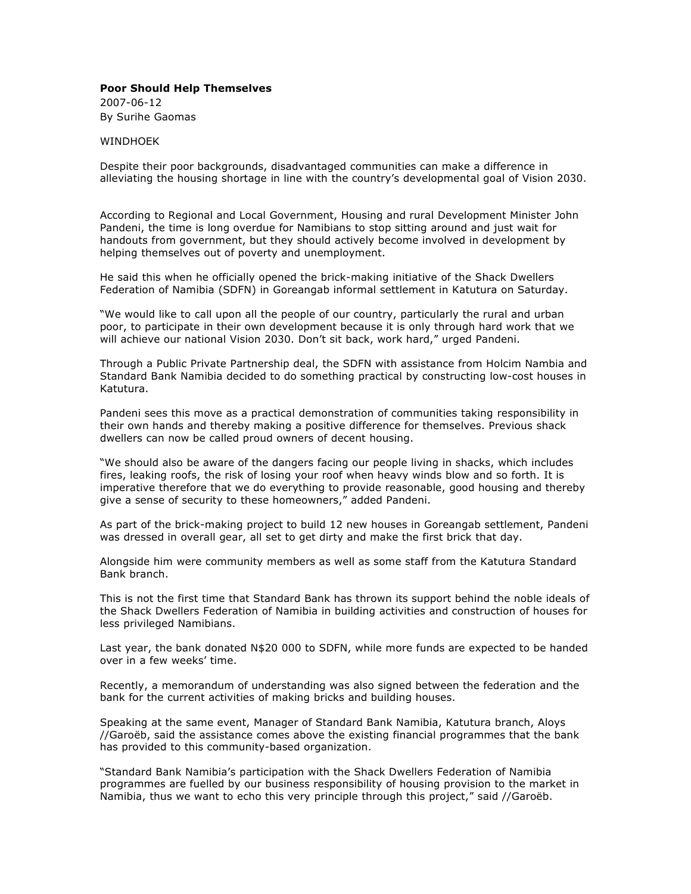## **[Poor Should Help Themselves](http://www.newera.com.na/page.php?id=16242)**

2007-06-12 By Surihe Gaomas

## **WINDHOFK**

Despite their poor backgrounds, disadvantaged communities can make a difference in alleviating the housing shortage in line with the country's developmental goal of Vision 2030.

According to Regional and Local Government, Housing and rural Development Minister John Pandeni, the time is long overdue for Namibians to stop sitting around and just wait for handouts from government, but they should actively become involved in development by helping themselves out of poverty and unemployment.

He said this when he officially opened the brick-making initiative of the Shack Dwellers Federation of Namibia (SDFN) in Goreangab informal settlement in Katutura on Saturday.

"We would like to call upon all the people of our country, particularly the rural and urban poor, to participate in their own development because it is only through hard work that we will achieve our national Vision 2030. Don't sit back, work hard," urged Pandeni.

Through a Public Private Partnership deal, the SDFN with assistance from Holcim Nambia and Standard Bank Namibia decided to do something practical by constructing low-cost houses in Katutura.

Pandeni sees this move as a practical demonstration of communities taking responsibility in their own hands and thereby making a positive difference for themselves. Previous shack dwellers can now be called proud owners of decent housing.

"We should also be aware of the dangers facing our people living in shacks, which includes fires, leaking roofs, the risk of losing your roof when heavy winds blow and so forth. It is imperative therefore that we do everything to provide reasonable, good housing and thereby give a sense of security to these homeowners," added Pandeni.

As part of the brick-making project to build 12 new houses in Goreangab settlement, Pandeni was dressed in overall gear, all set to get dirty and make the first brick that day.

Alongside him were community members as well as some staff from the Katutura Standard Bank branch.

This is not the first time that Standard Bank has thrown its support behind the noble ideals of the Shack Dwellers Federation of Namibia in building activities and construction of houses for less privileged Namibians.

Last year, the bank donated N\$20 000 to SDFN, while more funds are expected to be handed over in a few weeks' time.

Recently, a memorandum of understanding was also signed between the federation and the bank for the current activities of making bricks and building houses.

Speaking at the same event, Manager of Standard Bank Namibia, Katutura branch, Aloys //Garoëb, said the assistance comes above the existing financial programmes that the bank has provided to this community-based organization.

"Standard Bank Namibia's participation with the Shack Dwellers Federation of Namibia programmes are fuelled by our business responsibility of housing provision to the market in Namibia, thus we want to echo this very principle through this project," said //Garoëb.